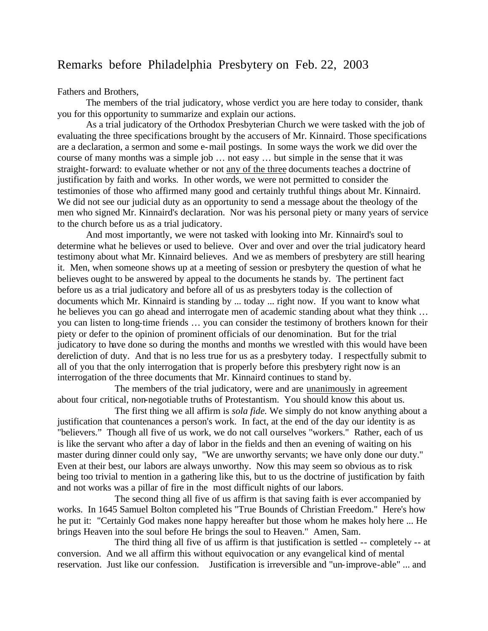## Remarks before Philadelphia Presbytery on Feb. 22, 2003

Fathers and Brothers,

The members of the trial judicatory, whose verdict you are here today to consider, thank you for this opportunity to summarize and explain our actions.

As a trial judicatory of the Orthodox Presbyterian Church we were tasked with the job of evaluating the three specifications brought by the accusers of Mr. Kinnaird. Those specifications are a declaration, a sermon and some e-mail postings. In some ways the work we did over the course of many months was a simple job … not easy … but simple in the sense that it was straight-forward: to evaluate whether or not any of the three documents teaches a doctrine of justification by faith and works. In other words, we were not permitted to consider the testimonies of those who affirmed many good and certainly truthful things about Mr. Kinnaird. We did not see our judicial duty as an opportunity to send a message about the theology of the men who signed Mr. Kinnaird's declaration. Nor was his personal piety or many years of service to the church before us as a trial judicatory.

And most importantly, we were not tasked with looking into Mr. Kinnaird's soul to determine what he believes or used to believe. Over and over and over the trial judicatory heard testimony about what Mr. Kinnaird believes. And we as members of presbytery are still hearing it. Men, when someone shows up at a meeting of session or presbytery the question of what he believes ought to be answered by appeal to the documents he stands by. The pertinent fact before us as a trial judicatory and before all of us as presbyters today is the collection of documents which Mr. Kinnaird is standing by ... today ... right now. If you want to know what he believes you can go ahead and interrogate men of academic standing about what they think … you can listen to long-time friends … you can consider the testimony of brothers known for their piety or defer to the opinion of prominent officials of our denomination. But for the trial judicatory to have done so during the months and months we wrestled with this would have been dereliction of duty. And that is no less true for us as a presbytery today. I respectfully submit to all of you that the only interrogation that is properly before this presbytery right now is an interrogation of the three documents that Mr. Kinnaird continues to stand by.

The members of the trial judicatory, were and are unanimously in agreement about four critical, non-negotiable truths of Protestantism. You should know this about us.

The first thing we all affirm is *sola fide.* We simply do not know anything about a justification that countenances a person's work. In fact, at the end of the day our identity is as "believers." Though all five of us work, we do not call ourselves "workers." Rather, each of us is like the servant who after a day of labor in the fields and then an evening of waiting on his master during dinner could only say, "We are unworthy servants; we have only done our duty." Even at their best, our labors are always unworthy. Now this may seem so obvious as to risk being too trivial to mention in a gathering like this, but to us the doctrine of justification by faith and not works was a pillar of fire in the most difficult nights of our labors.

The second thing all five of us affirm is that saving faith is ever accompanied by works. In 1645 Samuel Bolton completed his "True Bounds of Christian Freedom." Here's how he put it: "Certainly God makes none happy hereafter but those whom he makes holy here ... He brings Heaven into the soul before He brings the soul to Heaven." Amen, Sam.

The third thing all five of us affirm is that justification is settled -- completely -- at conversion. And we all affirm this without equivocation or any evangelical kind of mental reservation. Just like our confession. Justification is irreversible and "un-improve-able" ... and